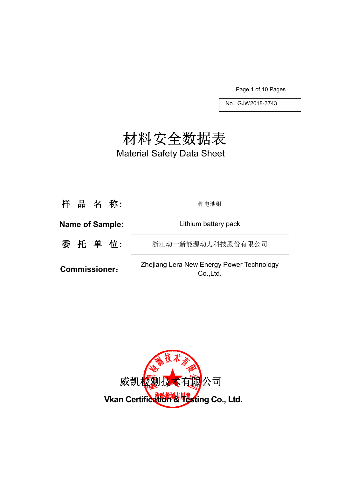Page 1 of 10 Pages

No.: GJW2018-3743

# 材料安全数据表

Material Safety Data Sheet

| 样 品 名 称:               | 锂电池组                                                   |
|------------------------|--------------------------------------------------------|
| <b>Name of Sample:</b> | Lithium battery pack                                   |
| 委 托 单 位:               | 浙江动一新能源动力科技股份有限公司                                      |
| <b>Commissioner:</b>   | Zhejiang Lera New Energy Power Technology<br>Co., Ltd. |

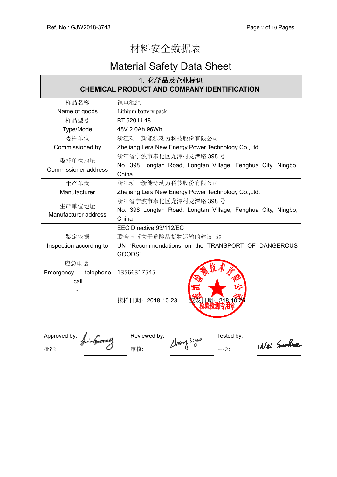## 材料安全数据表

## Material Safety Data Sheet

| 1. 化学品及企业标识                                                  |  |  |  |  |
|--------------------------------------------------------------|--|--|--|--|
| <b>CHEMICAL PRODUCT AND COMPANY IDENTIFICATION</b>           |  |  |  |  |
| 锂电池组                                                         |  |  |  |  |
| Lithium battery pack                                         |  |  |  |  |
| BT 520 Li 48                                                 |  |  |  |  |
| 48V 2.0Ah 96Wh                                               |  |  |  |  |
| 浙江动一新能源动力科技股份有限公司                                            |  |  |  |  |
| Zhejiang Lera New Energy Power Technology Co., Ltd.          |  |  |  |  |
| 浙江省宁波市奉化区龙潭村龙潭路 398号                                         |  |  |  |  |
| No. 398 Longtan Road, Longtan Village, Fenghua City, Ningbo, |  |  |  |  |
| China                                                        |  |  |  |  |
| 浙江动一新能源动力科技股份有限公司                                            |  |  |  |  |
| Zhejiang Lera New Energy Power Technology Co., Ltd.          |  |  |  |  |
| 浙江省宁波市奉化区龙潭村龙潭路 398号                                         |  |  |  |  |
| No. 398 Longtan Road, Longtan Village, Fenghua City, Ningbo, |  |  |  |  |
| China                                                        |  |  |  |  |
| EEC Directive 93/112/EC                                      |  |  |  |  |
| 联合国《关于危险品货物运输的建议书》                                           |  |  |  |  |
| UN "Recommendations on the TRANSPORT OF DANGEROUS            |  |  |  |  |
| GOODS"                                                       |  |  |  |  |
|                                                              |  |  |  |  |
| 13566317545                                                  |  |  |  |  |
|                                                              |  |  |  |  |
| गा<br>接样日期: 2018-10-23                                       |  |  |  |  |
|                                                              |  |  |  |  |

Approved by:  $\int_{\mathbb{R}}$  and  $\int_{\mathbb{R}}$  Reviewed by: the state of the Tested by: 批准: インタンタンタンタンタン 宇 はんこう こうしょう はんこうしょう せいじょう まんこうしゃ エンジョン こうしゅうしゃ こうしゅうしゃ はんこうしゃ こうしゃ こうしゃ こうしゃ こうしゃ おんこうしゃ

Wei Gushua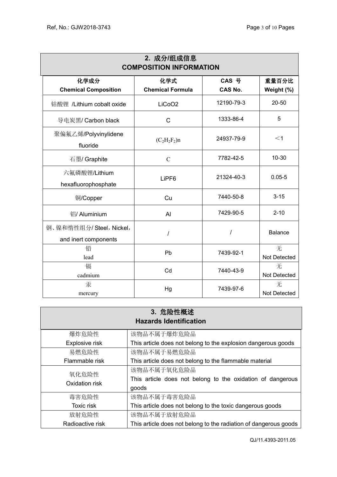| 2. 成分/组成信息<br><b>COMPOSITION INFORMATION</b>    |                                |                         |                     |  |  |
|-------------------------------------------------|--------------------------------|-------------------------|---------------------|--|--|
| 化学成分<br><b>Chemical Composition</b>             | 化学式<br><b>Chemical Formula</b> | CAS 号<br><b>CAS No.</b> | 重量百分比<br>Weight (%) |  |  |
| 钴酸锂 /Lithium cobalt oxide                       | LiCoO <sub>2</sub>             | 12190-79-3              | 20-50               |  |  |
| 导电炭黑/ Carbon black                              | $\mathsf{C}$                   | 1333-86-4               | 5                   |  |  |
| 聚偏氟乙烯/Polyvinylidene<br>fluoride                | $(C_2H_2F_2)n$                 | 24937-79-9              | $<$ 1               |  |  |
| 石墨/ Graphite                                    | $\mathcal{C}$                  | 7782-42-5               | $10 - 30$           |  |  |
| 六氟磷酸锂/Lithium<br>hexafluorophosphate            | LiPF <sub>6</sub>              | 21324-40-3              | $0.05 - 5$          |  |  |
| 铜/Copper                                        | Cu                             | 7440-50-8               | $3 - 15$            |  |  |
| 铝/ Aluminium                                    | Al                             | 7429-90-5               | $2 - 10$            |  |  |
| 钢、镍和惰性组分/Steel, Nickel,<br>and inert components | $\prime$                       | $\prime$                | <b>Balance</b>      |  |  |
| 铅<br>lead                                       | Pb                             | 7439-92-1               | 无<br>Not Detected   |  |  |
| 镉<br>cadmium                                    | Cd                             | 7440-43-9               | 无<br>Not Detected   |  |  |
| 汞<br>mercury                                    | Hg                             | 7439-97-6               | 无<br>Not Detected   |  |  |

| 3. 危险性概述<br><b>Hazards Identification</b> |                                                                                    |  |  |  |
|-------------------------------------------|------------------------------------------------------------------------------------|--|--|--|
| 爆炸危险性                                     | 该物品不属于爆炸危险品                                                                        |  |  |  |
| Explosive risk                            | This article does not belong to the explosion dangerous goods                      |  |  |  |
| 易燃危险性                                     | 该物品不属于易燃危险品                                                                        |  |  |  |
| Flammable risk                            | This article does not belong to the flammable material                             |  |  |  |
| 氧化危险性<br>Oxidation risk                   | 该物品不属于氧化危险品<br>This article does not belong to the oxidation of dangerous<br>goods |  |  |  |
| 毒害危险性                                     | 该物品不属于毒害危险品                                                                        |  |  |  |
| Toxic risk                                | This article does not belong to the toxic dangerous goods                          |  |  |  |
| 放射危险性                                     | 该物品不属于放射危险品                                                                        |  |  |  |
| Radioactive risk                          | This article does not belong to the radiation of dangerous goods                   |  |  |  |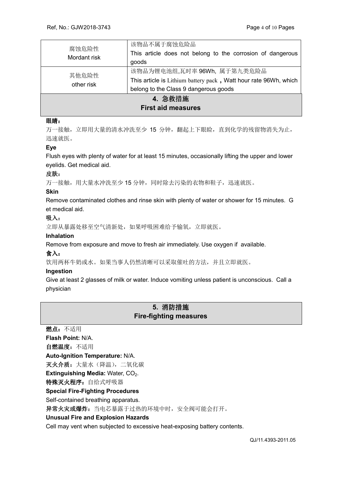| 腐蚀危险性<br>Mordant risk                | 该物品不属于腐蚀危险品<br>This article does not belong to the corrosion of dangerous<br>goods                                                       |  |
|--------------------------------------|------------------------------------------------------------------------------------------------------------------------------------------|--|
| 其他危险性<br>other risk                  | 该物品为锂电池组,瓦时率 96Wh, 属于第九类危险品<br>This article is Lithium battery pack, Watt hour rate 96Wh, which<br>belong to the Class 9 dangerous goods |  |
| 4. 急救措施<br><b>First aid measures</b> |                                                                                                                                          |  |

## 眼睛:

万一接触,立即用大量的清水冲洗至少 15 分钟,翻起上下眼睑,直到化学的残留物消失为止, 迅速就医。

## **Eye**

Flush eyes with plenty of water for at least 15 minutes, occasionally lifting the upper and lower eyelids. Get medical aid.

#### 皮肤:

万一接触,用大量水冲洗至少15分钟,同时除去污染的衣物和鞋子,迅速就医。

#### **Skin**

Remove contaminated clothes and rinse skin with plenty of water or shower for 15 minutes. G et medical aid.

## 吸入:

立即从暴露处移至空气清新处,如果呼吸困难给予输氧,立即就医。

## **Inhalation**

Remove from exposure and move to fresh air immediately. Use oxygen if available.

## 食入:

饮用两杯牛奶或水。如果当事人仍然清晰可以采取催吐的方法,并且立即就医。

#### **Ingestion**

Give at least 2 glasses of milk or water. Induce vomiting unless patient is unconscious. Call a physician

## **5.** 消防措施 **Fire-fighting measures**

燃点:不适用 **Flash Point:** N/A. 自燃温度:不适用 **Auto-Ignition Temperature:** N/A. 灭火介质: 大量水(降温), 二氧化碳 **Extinguishing Media: Water, CO<sub>2</sub>.** 特殊灭火程序: 自给式呼吸器 **Special Fire-Fighting Procedures**  Self-contained breathing apparatus. 异常火灾或爆炸: 当电芯暴露于过热的环境中时, 安全阀可能会打开。 **Unusual Fire and Explosion Hazards**  Cell may vent when subjected to excessive heat-exposing battery contents.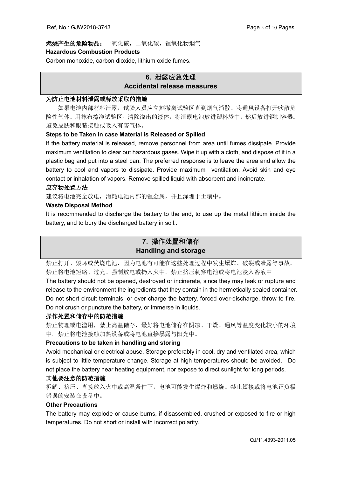## 燃烧产生的危险物品:一氧化碳,二氧化碳,锂氧化物烟气 **Hazardous Combustion Products**

Carbon monoxide, carbon dioxide, lithium oxide fumes.

## **6.** 泄露应急处理 **Accidental release measures**

## 为防止电池材料泄露或释放采取的措施

如果电池内部材料泄露,试验人员应立刻撤离试验区直到烟气消散。将通风设备打开吹散危 险性气体。用抹布擦净试验区,清除溢出的液体,将泄露电池放进塑料袋中,然后放进钢制容器。 避免皮肤和眼睛接触或吸入有害气体。

## **Steps to be Taken in case Material is Released or Spilled**

If the battery material is released, remove personnel from area until fumes dissipate. Provide maximum ventilation to clear out hazardous gases. Wipe it up with a cloth, and dispose of it in a plastic bag and put into a steel can. The preferred response is to leave the area and allow the battery to cool and vapors to dissipate. Provide maximum ventilation. Avoid skin and eye contact or inhalation of vapors. Remove spilled liquid with absorbent and incinerate.

## 废弃物处置方法

建议将电池完全放电,消耗电池内部的锂金属,并且深埋于土壤中。

## **Waste Disposal Method**

It is recommended to discharge the battery to the end, to use up the metal lithium inside the battery, and to bury the discharged battery in soil..

## **7.** 操作处置和储存 **Handling and storage**

禁止打开、毁坏或焚烧电池,因为电池有可能在这些处理过程中发生爆炸、破裂或泄露等事故。 禁止将电池短路、过充、强制放电或扔入火中。禁止挤压刺穿电池或将电池浸入溶液中。

The battery should not be opened, destroyed or incinerate, since they may leak or rupture and release to the environment the ingredients that they contain in the hermetically sealed container. Do not short circuit terminals, or over charge the battery, forced over-discharge, throw to fire. Do not crush or puncture the battery, or immerse in liquids.

## 操作处置和储存中的防范措施

禁止物理或电滥用,禁止高温储存,最好将电池储存在阴凉、干燥、通风等温度变化较小的环境 中。禁止将电池接触加热设备或将电池直接暴露与阳光中。

## **Precautions to be taken in handling and storing**

Avoid mechanical or electrical abuse. Storage preferably in cool, dry and ventilated area, which is subject to little temperature change. Storage at high temperatures should be avoided. Do not place the battery near heating equipment, nor expose to direct sunlight for long periods.

## 其他要注意的防范措施

拆解、挤压、直接放入火中或高温条件下,电池可能发生爆炸和燃烧。禁止短接或将电池正负极 错误的安装在设备中。

## **Other Precautions**

The battery may explode or cause burns, if disassembled, crushed or exposed to fire or high temperatures. Do not short or install with incorrect polarity.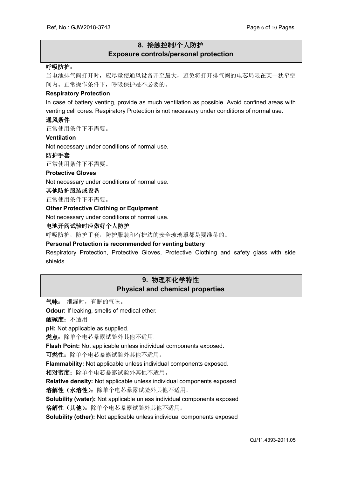## **8.** 接触控制**/**个人防护 **Exposure controls/personal protection**

#### 呼吸防护:

当电池排气阀打开时,应尽量使通风设备开至最大,避免将打开排气阀的电芯局限在某一狭窄空 间内。正常操作条件下,呼吸保护是不必要的。

#### **Respiratory Protection**

In case of battery venting, provide as much ventilation as possible. Avoid confined areas with venting cell cores. Respiratory Protection is not necessary under conditions of normal use.

#### 通风条件

正常使用条件下不需要。

#### **Ventilation**

Not necessary under conditions of normal use.

#### 防护手套

正常使用条件下不需要。

#### **Protective Gloves**

Not necessary under conditions of normal use.

#### 其他防护服装或设备

正常使用条件下不需要。

#### **Other Protective Clothing or Equipment**

Not necessary under conditions of normal use.

#### 电池开阀试验时应做好个人防护

呼吸防护,防护手套,防护服装和有护边的安全玻璃罩都是要准备的。

#### **Personal Protection is recommended for venting battery**

Respiratory Protection, Protective Gloves, Protective Clothing and safety glass with side shields.

## **9.** 物理和化学特性 **Physical and chemical properties**

气味: 泄漏时,有醚的气味。

**Odour:** If leaking, smells of medical ether.

酸碱度:不适用

**pH:** Not applicable as supplied.

燃点: 除单个电芯暴露试验外其他不适用。

**Flash Point:** Not applicable unless individual components exposed.

可燃性: 除单个电芯暴露试验外其他不适用。

**Flammability:** Not applicable unless individual components exposed.

相对密度:除单个电芯暴露试验外其他不适用。

**Relative density:** Not applicable unless individual components exposed

溶解性(水溶性):除单个电芯暴露试验外其他不适用。

**Solubility (water):** Not applicable unless individual components exposed

溶解性(其他):除单个电芯暴露试验外其他不适用。

**Solubility (other):** Not applicable unless individual components exposed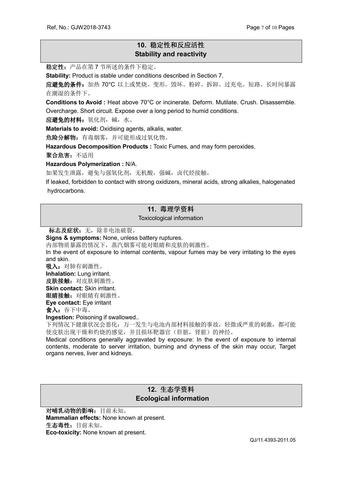## **10.** 稳定性和反应活性 **Stability and reactivity**

稳定性:产品在第 7 节所述的条件下稳定。

**Stability:** Product is stable under conditions described in Section 7.

应避免的条件:加热 70°C 以上或焚烧。变形。毁坏。粉碎。拆卸。过充电。短路。长时间暴露 在潮湿的条件下。

**Conditions to Avoid :** Heat above 70°C or incinerate. Deform. Mutilate. Crush. Disassemble. Overcharge. Short circuit. Expose over a long period to humid conditions.

应避免的材料:氧化剂,碱,水。

**Materials to avoid:** Oxidising agents, alkalis, water.

危险分解物:有毒烟雾,并可能形成过氧化物。

**Hazardous Decomposition Products :** Toxic Fumes, and may form peroxides.

聚合危害:不适用

**Hazardous Polymerization :** N/A.

如果发生泄露,避免与强氧化剂,无机酸,强碱,卤代烃接触。

If leaked, forbidden to contact with strong oxidizers, mineral acids, strong alkalies, halogenated hydrocarbons.

## **11.** 毒理学资料

Toxicological information

标志及症状: 无, 除非电池破裂。

**Signs & symptoms:** None, unless battery ruptures.

内部物质暴露的情况下,蒸汽烟雾可能对眼睛和皮肤的刺激性。

In the event of exposure to internal contents, vapour fumes may be very irritating to the eyes and skin.

吸入: 对肺有刺激性。

**Inhalation:** Lung irritant.

皮肤接触: 对皮肤刺激性。 **Skin contact:** Skin irritant.

眼睛接触: 对眼睛有刺激性。

**Eye contact:** Eye irritant

食入:吞下中毒。

**Ingestion:** Poisoning if swallowed..

下列情况下健康状况会恶化:万一发生与电池内部材料接触的事故,轻微或严重的刺激,都可能 使皮肤出现干燥和灼烧的感觉,并且损坏靶器官(肝脏,肾脏)的神经。

Medical conditions generally aggravated by exposure: In the event of exposure to internal contents, moderate to server irritation, burning and dryness of the skin may occur, Target organs nerves, liver and kidneys.

## **12.** 生态学资料  **Ecological information**

对哺乳动物的影响:目前未知。 **Mammalian effects:** None known at present. 生态毒性:目前未知。 **Eco-toxicity:** None known at present.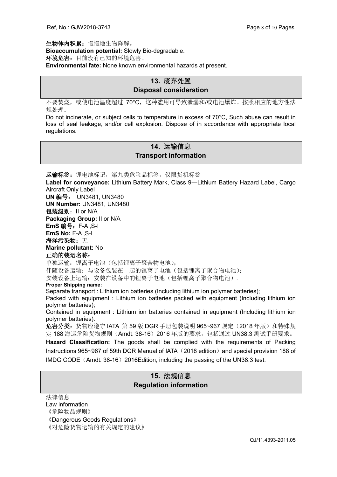生物体内积累:慢慢地生物降解。 **Bioaccumulation potential:** Slowly Bio-degradable. 环境危害: 目前没有已知的环境危害。 **Environmental fate:** None known environmental hazards at present.

## **13.** 废弃处置 **Disposal consideration**

不要焚烧,或使电池温度超过 70°C,这种滥用可导致泄漏和/或电池爆炸。按照相应的地方性法 规处理。

Do not incinerate, or subject cells to temperature in excess of 70°C, Such abuse can result in loss of seal leakage, and/or cell explosion. Dispose of in accordance with appropriate local regulations.

## **14.** 运输信息 **Transport information**

运输标签: 锂电池标记, 第九类危险品标签, 仅限货机标签 **Label for conveyance:** Lithium Battery Mark, Class 9—Lithium Battery Hazard Label, Cargo Aircraft Only Label **UN** 编号: UN3481, UN3480 **UN Number:** UN3481, UN3480 包装级别:II or N/A **Packaging Group:** II or N/A **EmS** 编号:F-A ,S-I **EmS No:** F-A ,S-I 海洋污染物: 无 **Marine pollutant:** No 正确的装运名称: 单独运输:锂离子电池(包括锂离子聚合物电池); 伴随设备运输:与设备包装在一起的锂离子电池(包括锂离子聚合物电池); 安装设备上运输:安装在设备中的锂离子电池(包括锂离子聚合物电池). **Proper Shipping name:** Separate transport : Lithium ion batteries (Including lithium ion polymer batteries); Packed with equipment : Lithium ion batteries packed with equipment (Including lithium ion polymer batteries); Contained in equipment : Lithium ion batteries contained in equipment (Including lithium ion polymer batteries). 危害分类:货物应遵守 IATA 第 59 版 DGR 手册包装说明 965~967 规定(2018 年版)和特殊规 定 188 海运危险货物规则(Amdt. 38-16)2016 年版的要求,包括通过 UN38.3 测试手册要求。 **Hazard Classification:** The goods shall be complied with the requirements of Packing Instructions 965~967 of 59th DGR Manual of IATA (2018 edition) and special provision 188 of IMDG CODE (Amdt. 38-16) 2016Edition, including the passing of the UN38.3 test.

## **15.** 法规信息 **Regulation information**

法律信息 Law information 《危险物品规则》 《Dangerous Goods Regulations》 《对危险货物运输的有关规定的建议》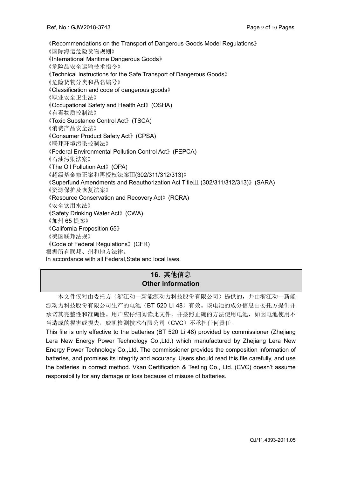《Recommendations on the Transport of Dangerous Goods Model Regulations》 《国际海运危险货物规则》 《International Maritime Dangerous Goods》 《危险品安全运输技术指令》 《Technical Instructions for the Safe Transport of Dangerous Goods》 《危险货物分类和品名编号》 《Classification and code of dangerous goods》 《职业安全卫生法》 《Occupational Safety and Health Act》(OSHA) 《有毒物质控制法》 《Toxic Substance Control Act》(TSCA) 《消费产品安全法》 《Consumer Product Safety Act》(CPSA) 《联邦环境污染控制法》 《Federal Environmental Pollution Control Act》(FEPCA) 《石油污染法案》 《The Oil Pollution Act》(OPA) 《超级基金修正案和再授权法案Ⅲ(302/311/312/313)》 《Superfund Amendments and Reauthorization Act TitleⅢ (302/311/312/313)》(SARA) 《资源保护及恢复法案》 《Resource Conservation and Recovery Act》(RCRA) 《安全饮用水法》 《Safety Drinking Water Act》(CWA) 《加州 65 提案》 《California Proposition 65》 《美国联邦法规》 《Code of Federal Regulations》(CFR) 根据所有联邦、州和地方法律。 In accordance with all Federal,State and local laws.

## **16.** 其他信息 **Other information**

本文件仅对由委托方(浙江动一新能源动力科技股份有限公司)提供的,并由浙江动一新能 源动力科技股份有限公司生产的电池(BT 520 Li 48)有效。该电池的成分信息由委托方提供并 承诺其完整性和准确性。用户应仔细阅读此文件,并按照正确的方法使用电池,如因电池使用不 当造成的损害或损失,威凯检测技术有限公司(CVC)不承担任何责任。

This file is only effective to the batteries (BT 520 Li 48) provided by commissioner (Zhejiang Lera New Energy Power Technology Co.,Ltd.) which manufactured by Zhejiang Lera New Energy Power Technology Co.,Ltd. The commissioner provides the composition information of batteries, and promises its integrity and accuracy. Users should read this file carefully, and use the batteries in correct method. Vkan Certification & Testing Co., Ltd. (CVC) doesn't assume responsibility for any damage or loss because of misuse of batteries.